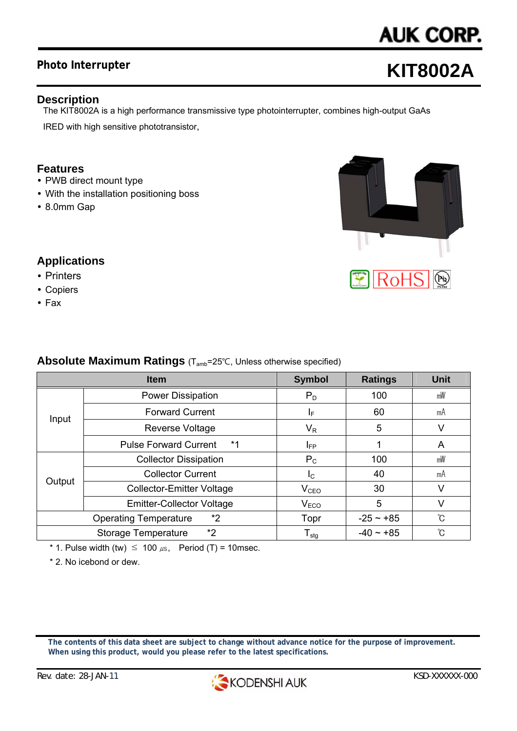# **Photo Interrupter**

# **AUK CORP.**

# **KIT8002A**

# **Description**

The KIT8002A is a high performance transmissive type photointerrupter, combines high-output GaAs IRED with high sensitive phototransistor,

#### **Features**

- PWB direct mount type
- With the installation positioning boss
- 8.0mm Gap



# **Applications**

- Printers
- Copiers
- $\cdot$  Fax

### **Absolute Maximum Ratings** (Tamb=25℃, Unless otherwise specified)

|                                    | <b>Item</b>                          | <b>Symbol</b>                | <b>Ratings</b> | <b>Unit</b> |
|------------------------------------|--------------------------------------|------------------------------|----------------|-------------|
| Input                              | <b>Power Dissipation</b>             | $P_D$                        | 100            | mW          |
|                                    | <b>Forward Current</b>               | ΙF                           | 60             | mA          |
|                                    | Reverse Voltage                      | $V_{R}$                      | 5              | V           |
|                                    | $*1$<br><b>Pulse Forward Current</b> | IFP                          |                | A           |
| Output                             | <b>Collector Dissipation</b>         | $P_{C}$                      | 100            | mW          |
|                                    | <b>Collector Current</b>             | $I_{\rm C}$                  | 40             | mA          |
|                                    | <b>Collector-Emitter Voltage</b>     | V <sub>CEO</sub>             | 30             | V           |
|                                    | <b>Emitter-Collector Voltage</b>     | V <sub>ECO</sub>             | 5              | V           |
| *2<br><b>Operating Temperature</b> |                                      | Topr                         | $-25 - 185$    | °C          |
| *2<br>Storage Temperature          |                                      | ${\mathsf T}_{\textsf{stg}}$ | $-40 \sim +85$ | °C          |

\* 1. Pulse width (tw)  $\leq 100 \mu s$ , Period (T) = 10msec.

\* 2. No icebond or dew.

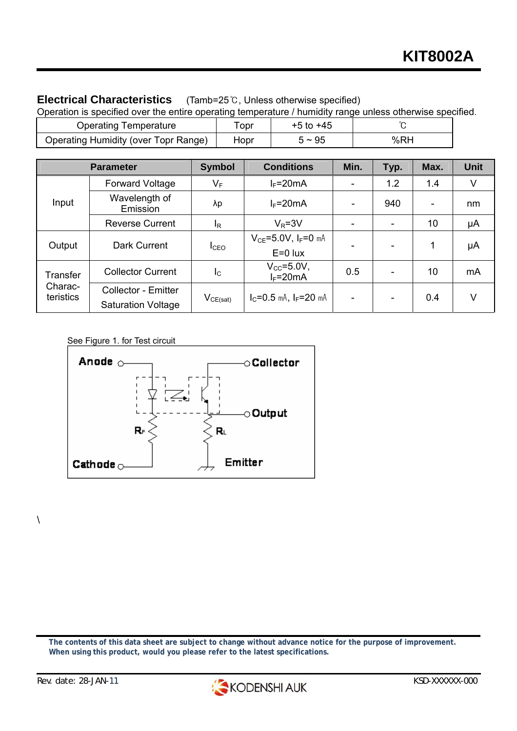# **Electrical Characteristics** (Tamb=25℃, Unless otherwise specified)

| Operation is specified over the entire operating temperature / humidity range unless otherwise specified. |      |               |     |  |  |  |  |
|-----------------------------------------------------------------------------------------------------------|------|---------------|-----|--|--|--|--|
| <b>Operating Temperature</b>                                                                              | Topr | $+5$ to $+45$ |     |  |  |  |  |
| Operating Humidity (over Topr Range)                                                                      | Hopr | $5 \sim 95$   | %RH |  |  |  |  |

|                                  | <b>Parameter</b>                                        | <b>Symbol</b>                            | <b>Conditions</b>                         | Min.                     | Typ. | Max.                     | <b>Unit</b> |
|----------------------------------|---------------------------------------------------------|------------------------------------------|-------------------------------------------|--------------------------|------|--------------------------|-------------|
| Input                            | <b>Forward Voltage</b>                                  | $\mathsf{V}_\mathsf{F}$                  | $I_F = 20mA$                              |                          | 1.2  | 1.4                      | V           |
|                                  | Wavelength of<br>Emission                               | λp                                       | $I_F = 20mA$                              | ۰                        | 940  | $\overline{\phantom{a}}$ | nm          |
|                                  | <b>Reverse Current</b>                                  | l <sub>R</sub>                           | $V_R = 3V$                                | -                        |      | 10                       | μA          |
| Output                           | Dark Current                                            | I <sub>CEO</sub>                         | $V_{CE} = 5.0 V, I_F = 0$ mA<br>$E=0$ lux |                          |      | 1                        | μA          |
| Transfer<br>Charac-<br>teristics | <b>Collector Current</b>                                | $I_{\rm C}$                              | $V_{\rm CC}$ =5.0V,<br>$I_F = 20mA$       | 0.5                      |      | 10                       | mA          |
|                                  | <b>Collector - Emitter</b><br><b>Saturation Voltage</b> | $\mathsf{V}_{\mathsf{CE}(\mathsf{sat})}$ | $I_C = 0.5$ mA, $I_F = 20$ mA             | $\overline{\phantom{a}}$ |      | 0.4                      | V           |

See Figure 1. for Test circuit



**The contents of this data sheet are subject to change without advance notice for the purpose of improvement. When using this product, would you please refer to the latest specifications.** 

 $\setminus$ 

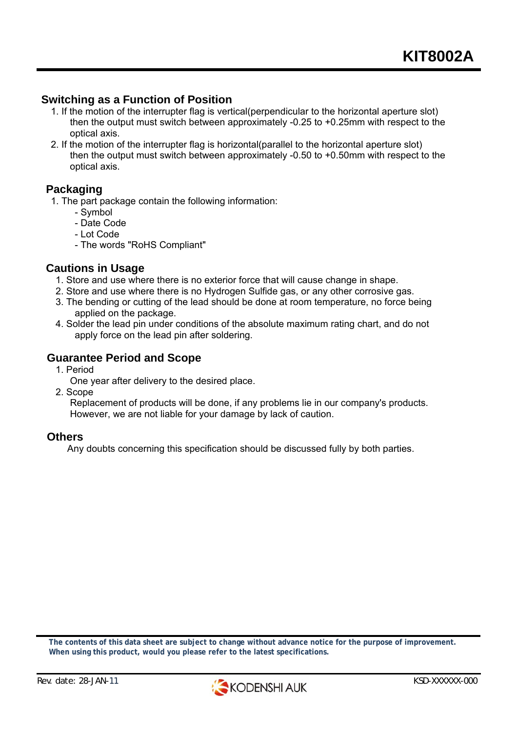#### **Switching as a Function of Position**

- 1. If the motion of the interrupter flag is vertical(perpendicular to the horizontal aperture slot) then the output must switch between approximately -0.25 to +0.25mm with respect to the optical axis.
- 2. If the motion of the interrupter flag is horizontal(parallel to the horizontal aperture slot) then the output must switch between approximately -0.50 to +0.50mm with respect to the optical axis.

#### **Packaging**

1. The part package contain the following information:

- Symbol
- Date Code
- Lot Code
- The words "RoHS Compliant"

#### **Cautions in Usage**

- 1. Store and use where there is no exterior force that will cause change in shape.
- 2. Store and use where there is no Hydrogen Sulfide gas, or any other corrosive gas.
- 3. The bending or cutting of the lead should be done at room temperature, no force being applied on the package.
- 4. Solder the lead pin under conditions of the absolute maximum rating chart, and do not apply force on the lead pin after soldering.

#### **Guarantee Period and Scope**

1. Period

One year after delivery to the desired place.

2. Scope

 Replacement of products will be done, if any problems lie in our company's products. However, we are not liable for your damage by lack of caution.

#### **Others**

Any doubts concerning this specification should be discussed fully by both parties.

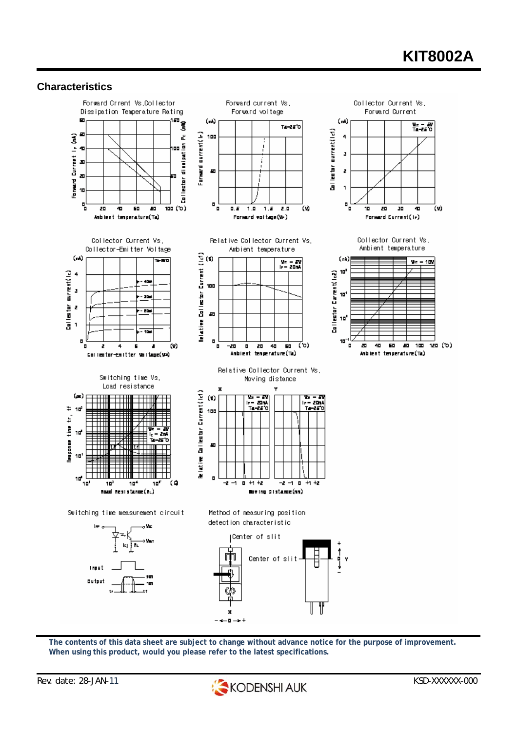# **KIT8002A**

#### **Characteristics**